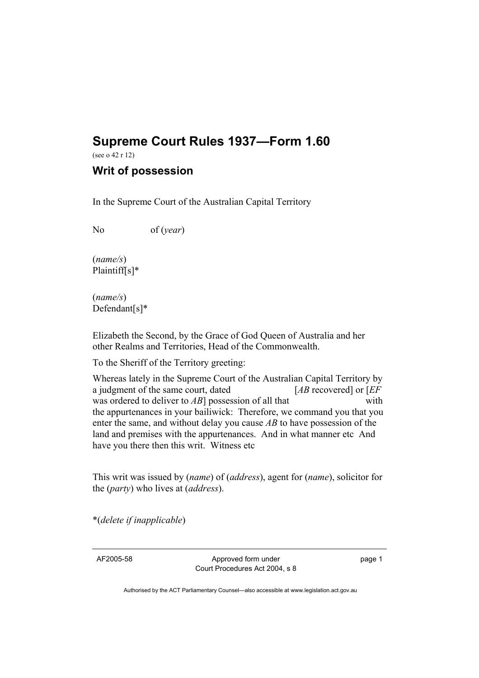## **Supreme Court Rules 1937—Form 1.60**

(see o 42 r 12)

## **Writ of possession**

In the Supreme Court of the Australian Capital Territory

No of (*year*)

(*name/s*) Plaintiff[s]\*

(*name/s*) Defendant[s]\*

Elizabeth the Second, by the Grace of God Queen of Australia and her other Realms and Territories, Head of the Commonwealth.

To the Sheriff of the Territory greeting:

Whereas lately in the Supreme Court of the Australian Capital Territory by a judgment of the same court, dated [*AB* recovered] or [*EF* was ordered to deliver to *AB*] possession of all that with the appurtenances in your bailiwick: Therefore, we command you that you enter the same, and without delay you cause *AB* to have possession of the land and premises with the appurtenances. And in what manner etc And have you there then this writ. Witness etc

This writ was issued by (*name*) of (*address*), agent for (*name*), solicitor for the (*party*) who lives at (*address*).

\*(*delete if inapplicable*)

AF2005-58 Approved form under Court Procedures Act 2004, s 8 page 1

Authorised by the ACT Parliamentary Counsel—also accessible at www.legislation.act.gov.au